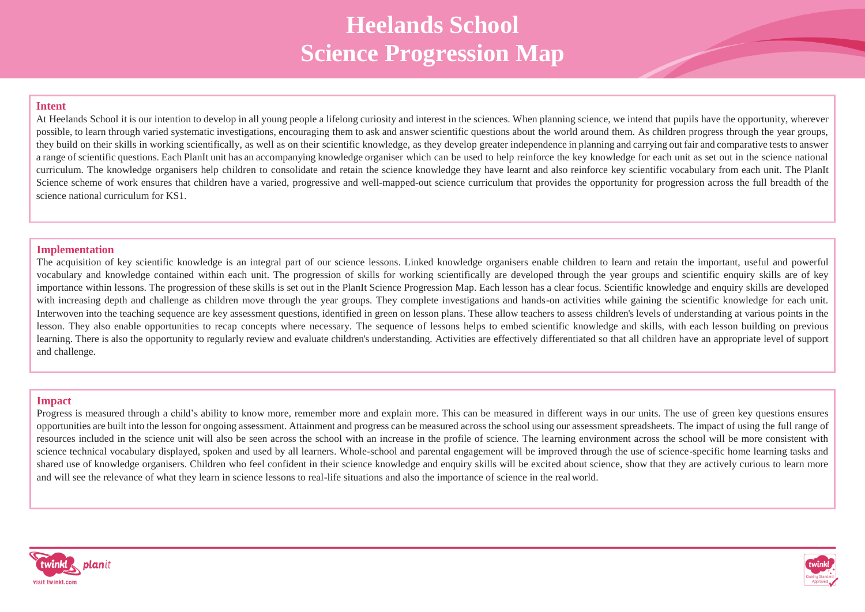# **Heelands School Science Progression Map**

#### **Intent**

At Heelands School it is our intention to develop in all young people a lifelong curiosity and interest in the sciences. When planning science, we intend that pupils have the opportunity, wherever possible, to learn through varied systematic investigations, encouraging them to ask and answer scientific questions about the world around them. As children progress through the year groups, they build on their skills in working scientifically, as well as on their scientific knowledge, as they develop greater independence in planning and carrying out fair and comparative teststo answer a range of scientific questions. Each PlanIt unit has an accompanying knowledge organiser which can be used to help reinforce the key knowledge for each unit as set out in the science national curriculum. The knowledge organisers help children to consolidate and retain the science knowledge they have learnt and also reinforce key scientific vocabulary from each unit. The PlanIt Science scheme of work ensures that children have a varied, progressive and well-mapped-out science curriculum that provides the opportunity for progression across the full breadth of the science national curriculum for KS1.

#### **Implementation**

The acquisition of key scientific knowledge is an integral part of our science lessons. Linked knowledge organisers enable children to learn and retain the important, useful and powerful vocabulary and knowledge contained within each unit. The progression of skills for working scientifically are developed through the year groups and scientific enquiry skills are of key importance within lessons. The progression of these skills is set out in the PlanIt Science Progression Map. Each lesson has a clear focus. Scientific knowledge and enquiry skills are developed with increasing depth and challenge as children move through the year groups. They complete investigations and hands-on activities while gaining the scientific knowledge for each unit. Interwoven into the teaching sequence are key assessment questions, identified in green on lesson plans. These allow teachers to assess children's levels of understanding at various points in the lesson. They also enable opportunities to recap concepts where necessary. The sequence of lessons helps to embed scientific knowledge and skills, with each lesson building on previous learning. There is also the opportunity to regularly review and evaluate children's understanding. Activities are effectively differentiated so that all children have an appropriate level of support and challenge.

#### **Impact**

Progress is measured through a child's ability to know more, remember more and explain more. This can be measured in different ways in our units. The use of green key questions ensures opportunities are built into the lesson for ongoing assessment. Attainment and progress can be measured across the school using our assessment spreadsheets. The impact of using the full range of resources included in the science unit will also be seen across the school with an increase in the profile of science. The learning environment across the school will be more consistent with science technical vocabulary displayed, spoken and used by all learners. Whole-school and parental engagement will be improved through the use of science-specific home learning tasks and shared use of knowledge organisers. Children who feel confident in their science knowledge and enquiry skills will be excited about science, show that they are actively curious to learn more and will see the relevance of what they learn in science lessons to real-life situations and also the importance of science in the realworld.



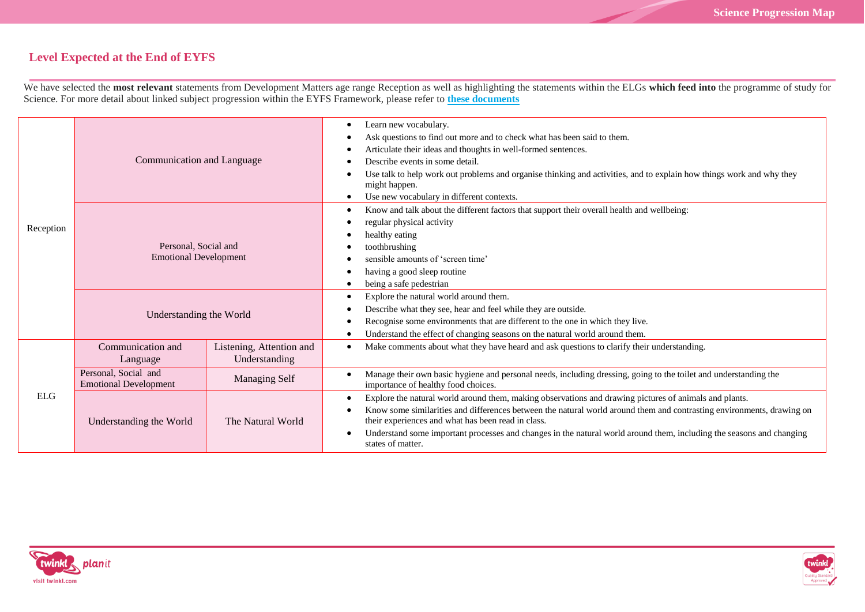## **Level Expected at the End of EYFS**

We have selected the **most relevant** statements from Development Matters age range Reception as well as highlighting the statements within the ELGs **which feed into** the programme of study for Science. For more detail about linked subject progression within the EYFS Framework, please refer to **[these documents](https://www.twinkl.co.uk/resource/learning-in-eyfs-what-subject-leaders-need-to-know-resource-pack-t-tp-2548825)**

| Reception  | Communication and Language                           |                                           | Learn new vocabulary.<br>٠<br>Ask questions to find out more and to check what has been said to them.<br>٠<br>Articulate their ideas and thoughts in well-formed sentences.<br>Describe events in some detail.<br>Use talk to help work out problems and organise thinking and activities, and to explain how things work and why they<br>might happen.<br>Use new vocabulary in different contexts.<br>٠                                    |
|------------|------------------------------------------------------|-------------------------------------------|----------------------------------------------------------------------------------------------------------------------------------------------------------------------------------------------------------------------------------------------------------------------------------------------------------------------------------------------------------------------------------------------------------------------------------------------|
|            | Personal, Social and<br><b>Emotional Development</b> |                                           | Know and talk about the different factors that support their overall health and wellbeing:<br>٠<br>regular physical activity<br>healthy eating<br>toothbrushing<br>sensible amounts of 'screen time'<br>having a good sleep routine<br>٠<br>being a safe pedestrian                                                                                                                                                                          |
|            | Understanding the World                              |                                           | Explore the natural world around them.<br>٠<br>Describe what they see, hear and feel while they are outside.<br>Recognise some environments that are different to the one in which they live.<br>Understand the effect of changing seasons on the natural world around them.                                                                                                                                                                 |
| <b>ELG</b> | Communication and<br>Language                        | Listening, Attention and<br>Understanding | Make comments about what they have heard and ask questions to clarify their understanding.                                                                                                                                                                                                                                                                                                                                                   |
|            | Personal, Social and<br><b>Emotional Development</b> | <b>Managing Self</b>                      | Manage their own basic hygiene and personal needs, including dressing, going to the toilet and understanding the<br>$\bullet$<br>importance of healthy food choices.                                                                                                                                                                                                                                                                         |
|            | Understanding the World                              | The Natural World                         | Explore the natural world around them, making observations and drawing pictures of animals and plants.<br>٠<br>Know some similarities and differences between the natural world around them and contrasting environments, drawing on<br>their experiences and what has been read in class.<br>Understand some important processes and changes in the natural world around them, including the seasons and changing<br>٠<br>states of matter. |



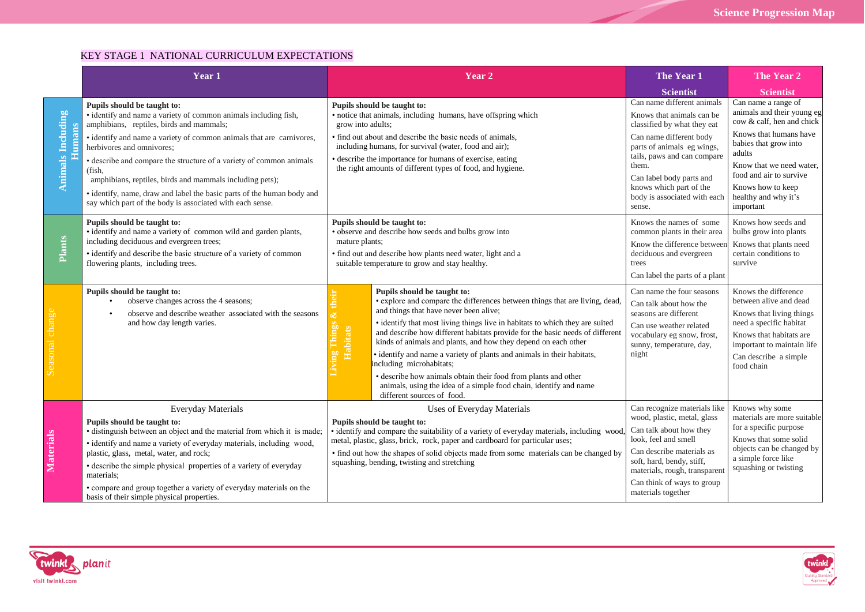### KEY STAGE 1 NATIONAL CURRICULUM EXPECTATIONS

|                                    | Year 1                                                                                                                                                                                                                                                                                                                                                                                                                                                                                                                              | Year <sub>2</sub>                                                                                                                                                                                                     |                                                                                                                                                                                                                                                                                                                                                                                                                                                                                                                                                                                                                                                                   | The Year 1                                                                                                                                                                                                                                                                               | The Year 2                                                                                                                                                                                                                                                   |
|------------------------------------|-------------------------------------------------------------------------------------------------------------------------------------------------------------------------------------------------------------------------------------------------------------------------------------------------------------------------------------------------------------------------------------------------------------------------------------------------------------------------------------------------------------------------------------|-----------------------------------------------------------------------------------------------------------------------------------------------------------------------------------------------------------------------|-------------------------------------------------------------------------------------------------------------------------------------------------------------------------------------------------------------------------------------------------------------------------------------------------------------------------------------------------------------------------------------------------------------------------------------------------------------------------------------------------------------------------------------------------------------------------------------------------------------------------------------------------------------------|------------------------------------------------------------------------------------------------------------------------------------------------------------------------------------------------------------------------------------------------------------------------------------------|--------------------------------------------------------------------------------------------------------------------------------------------------------------------------------------------------------------------------------------------------------------|
|                                    |                                                                                                                                                                                                                                                                                                                                                                                                                                                                                                                                     |                                                                                                                                                                                                                       |                                                                                                                                                                                                                                                                                                                                                                                                                                                                                                                                                                                                                                                                   | Scientist                                                                                                                                                                                                                                                                                | <b>Scientist</b>                                                                                                                                                                                                                                             |
| <b>Animals Including</b><br>Humans | Pupils should be taught to:<br>• identify and name a variety of common animals including fish,<br>amphibians, reptiles, birds and mammals;<br>· identify and name a variety of common animals that are carnivores,<br>herbivores and omnivores:<br>· describe and compare the structure of a variety of common animals<br>(fish,<br>amphibians, reptiles, birds and mammals including pets);<br>· identify, name, draw and label the basic parts of the human body and<br>say which part of the body is associated with each sense. | grow into adults;                                                                                                                                                                                                     | Pupils should be taught to:<br>• notice that animals, including humans, have offspring which<br>• find out about and describe the basic needs of animals,<br>including humans, for survival (water, food and air);<br>· describe the importance for humans of exercise, eating<br>the right amounts of different types of food, and hygiene.                                                                                                                                                                                                                                                                                                                      | Can name different animals<br>Knows that animals can be<br>classified by what they eat<br>Can name different body<br>parts of animals eg wings,<br>tails, paws and can compare<br>them.<br>Can label body parts and<br>knows which part of the<br>body is associated with each<br>sense. | Can name a range of<br>animals and their young eg<br>cow & calf, hen and chick<br>Knows that humans have<br>babies that grow into<br>adults<br>Know that we need water,<br>food and air to survive<br>Knows how to keep<br>healthy and why it's<br>important |
| Plants                             | Pupils should be taught to:<br>• identify and name a variety of common wild and garden plants,<br>including deciduous and evergreen trees;<br>• identify and describe the basic structure of a variety of common<br>flowering plants, including trees.                                                                                                                                                                                                                                                                              | Pupils should be taught to:<br>· observe and describe how seeds and bulbs grow into<br>mature plants;<br>• find out and describe how plants need water, light and a<br>suitable temperature to grow and stay healthy. |                                                                                                                                                                                                                                                                                                                                                                                                                                                                                                                                                                                                                                                                   | Knows the names of some<br>common plants in their area<br>Know the difference between<br>deciduous and evergreen<br>trees<br>Can label the parts of a plant                                                                                                                              | Knows how seeds and<br>bulbs grow into plants<br>Knows that plants need<br>certain conditions to<br>survive                                                                                                                                                  |
|                                    | Pupils should be taught to:<br>observe changes across the 4 seasons;<br>observe and describe weather associated with the seasons<br>and how day length varies.                                                                                                                                                                                                                                                                                                                                                                      | <b>L'hings</b><br><b>Habitats</b>                                                                                                                                                                                     | Pupils should be taught to:<br>· explore and compare the differences between things that are living, dead,<br>and things that have never been alive;<br>• identify that most living things live in habitats to which they are suited<br>and describe how different habitats provide for the basic needs of different<br>kinds of animals and plants, and how they depend on each other<br>· identify and name a variety of plants and animals in their habitats,<br>including microhabitats;<br>· describe how animals obtain their food from plants and other<br>animals, using the idea of a simple food chain, identify and name<br>different sources of food. | Can name the four seasons<br>Can talk about how the<br>seasons are different<br>Can use weather related<br>vocabulary eg snow, frost,<br>sunny, temperature, day,<br>night                                                                                                               | Knows the difference<br>between alive and dead<br>Knows that living things<br>need a specific habitat<br>Knows that habitats are<br>important to maintain life<br>Can describe a simple<br>food chain                                                        |
| Materials                          | <b>Everyday Materials</b><br>Pupils should be taught to:<br>· distinguish between an object and the material from which it is made;<br>• identify and name a variety of everyday materials, including wood,<br>plastic, glass, metal, water, and rock;<br>• describe the simple physical properties of a variety of everyday<br>materials:<br>• compare and group together a variety of everyday materials on the<br>basis of their simple physical properties.                                                                     |                                                                                                                                                                                                                       | Uses of Everyday Materials<br>Pupils should be taught to:<br>· identify and compare the suitability of a variety of everyday materials, including wood<br>metal, plastic, glass, brick, rock, paper and cardboard for particular uses;<br>• find out how the shapes of solid objects made from some materials can be changed by<br>squashing, bending, twisting and stretching                                                                                                                                                                                                                                                                                    | Can recognize materials like<br>wood, plastic, metal, glass<br>Can talk about how they<br>look, feel and smell<br>Can describe materials as<br>soft, hard, bendy, stiff,<br>materials, rough, transparent<br>Can think of ways to group<br>materials together                            | Knows why some<br>materials are more suitable<br>for a specific purpose<br>Knows that some solid<br>objects can be changed by<br>a simple force like<br>squashing or twisting                                                                                |